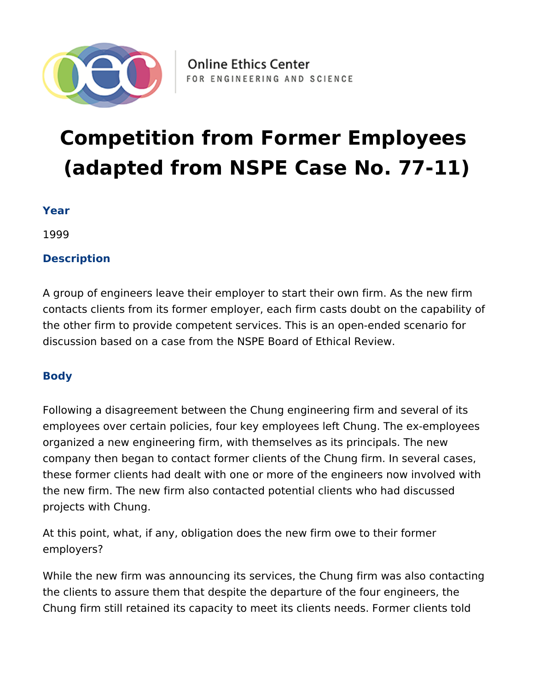

# **Competition from Former Employees (adapted from NSPE Case No. 77-11)**

### **Year**

1999

## **Description**

A group of engineers leave their employer to start their own firm. As the new firm contacts clients from its former employer, each firm casts doubt on the capability of the other firm to provide competent services. This is an open-ended scenario for discussion based on a case from the NSPE Board of Ethical Review.

## **Body**

Following a disagreement between the Chung engineering firm and several of its employees over certain policies, four key employees left Chung. The ex-employees organized a new engineering firm, with themselves as its principals. The new company then began to contact former clients of the Chung firm. In several cases, these former clients had dealt with one or more of the engineers now involved with the new firm. The new firm also contacted potential clients who had discussed projects with Chung.

At this point, what, if any, obligation does the new firm owe to their former employers?

While the new firm was announcing its services, the Chung firm was also contacting the clients to assure them that despite the departure of the four engineers, the Chung firm still retained its capacity to meet its clients needs. Former clients told